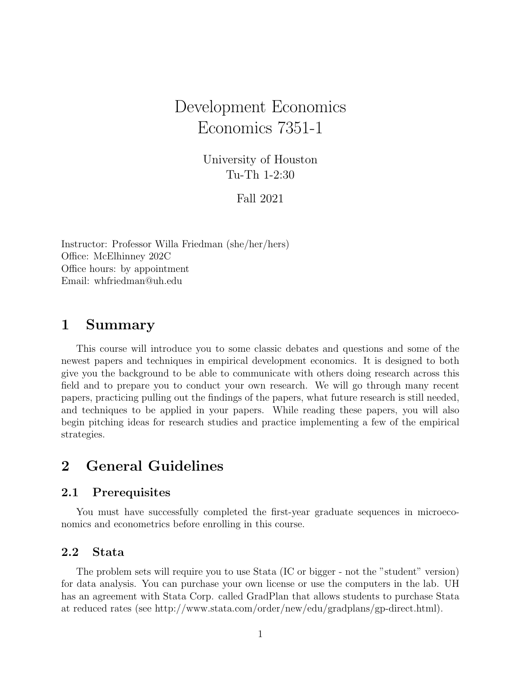# Development Economics Economics 7351-1

University of Houston Tu-Th 1-2:30

Fall 2021

Instructor: Professor Willa Friedman (she/her/hers) Office: McElhinney 202C Office hours: by appointment Email: whfriedman@uh.edu

### 1 Summary

This course will introduce you to some classic debates and questions and some of the newest papers and techniques in empirical development economics. It is designed to both give you the background to be able to communicate with others doing research across this field and to prepare you to conduct your own research. We will go through many recent papers, practicing pulling out the findings of the papers, what future research is still needed, and techniques to be applied in your papers. While reading these papers, you will also begin pitching ideas for research studies and practice implementing a few of the empirical strategies.

## 2 General Guidelines

#### 2.1 Prerequisites

You must have successfully completed the first-year graduate sequences in microeconomics and econometrics before enrolling in this course.

#### 2.2 Stata

The problem sets will require you to use Stata (IC or bigger - not the "student" version) for data analysis. You can purchase your own license or use the computers in the lab. UH has an agreement with Stata Corp. called GradPlan that allows students to purchase Stata at reduced rates (see http://www.stata.com/order/new/edu/gradplans/gp-direct.html).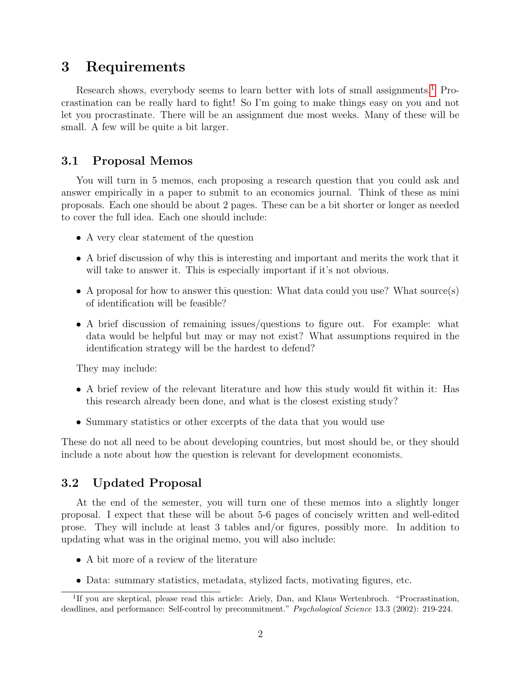### 3 Requirements

Research shows, everybody seems to learn better with lots of small assignments.<sup>[1](#page-1-0)</sup> Procrastination can be really hard to fight! So I'm going to make things easy on you and not let you procrastinate. There will be an assignment due most weeks. Many of these will be small. A few will be quite a bit larger.

#### 3.1 Proposal Memos

You will turn in 5 memos, each proposing a research question that you could ask and answer empirically in a paper to submit to an economics journal. Think of these as mini proposals. Each one should be about 2 pages. These can be a bit shorter or longer as needed to cover the full idea. Each one should include:

- A very clear statement of the question
- A brief discussion of why this is interesting and important and merits the work that it will take to answer it. This is especially important if it's not obvious.
- A proposal for how to answer this question: What data could you use? What source(s) of identification will be feasible?
- A brief discussion of remaining issues/questions to figure out. For example: what data would be helpful but may or may not exist? What assumptions required in the identification strategy will be the hardest to defend?

They may include:

- A brief review of the relevant literature and how this study would fit within it: Has this research already been done, and what is the closest existing study?
- Summary statistics or other excerpts of the data that you would use

These do not all need to be about developing countries, but most should be, or they should include a note about how the question is relevant for development economists.

#### 3.2 Updated Proposal

At the end of the semester, you will turn one of these memos into a slightly longer proposal. I expect that these will be about 5-6 pages of concisely written and well-edited prose. They will include at least 3 tables and/or figures, possibly more. In addition to updating what was in the original memo, you will also include:

- A bit more of a review of the literature
- <span id="page-1-0"></span>• Data: summary statistics, metadata, stylized facts, motivating figures, etc.

<sup>&</sup>lt;sup>1</sup>If you are skeptical, please read this article: Ariely, Dan, and Klaus Wertenbroch. "Procrastination, deadlines, and performance: Self-control by precommitment." Psychological Science 13.3 (2002): 219-224.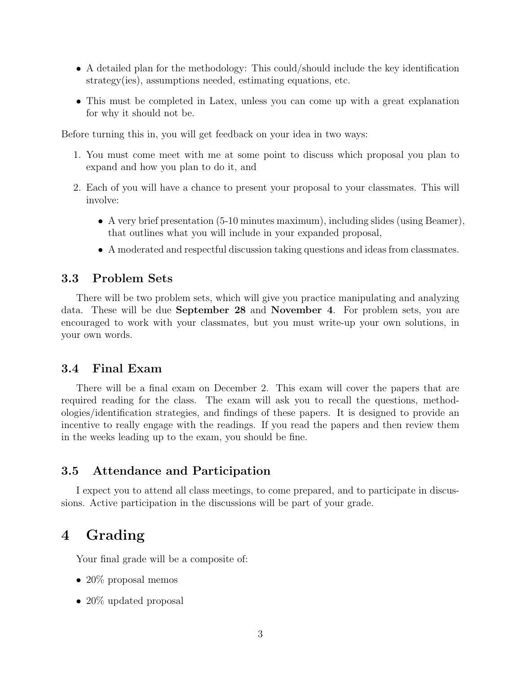- A detailed plan for the methodology: This could/should include the key identification strategy(ies), assumptions needed, estimating equations, etc.
- This must be completed in Latex, unless you can come up with a great explanation for why it should not be.

Before turning this in, you will get feedback on your idea in two ways:

- 1. You must come meet with me at some point to discuss which proposal you plan to expand and how you plan to do it, and
- 2. Each of you will have a chance to present your proposal to your classmates. This will involve:
	- A very brief presentation (5-10 minutes maximum), including slides (using Beamer), that outlines what you will include in your expanded proposal,
	- A moderated and respectful discussion taking questions and ideas from classmates.

#### 3.3 Problem Sets

There will be two problem sets, which will give you practice manipulating and analyzing data. These will be due September 28 and November 4. For problem sets, you are encouraged to work with your classmates, but you must write-up your own solutions, in your own words.

#### 3.4 Final Exam

There will be a final exam on December 2. This exam will cover the papers that are required reading for the class. The exam will ask you to recall the questions, methodologies/identification strategies, and findings of these papers. It is designed to provide an incentive to really engage with the readings. If you read the papers and then review them in the weeks leading up to the exam, you should be fine.

#### 3.5 Attendance and Participation

I expect you to attend all class meetings, to come prepared, and to participate in discussions. Active participation in the discussions will be part of your grade.

### 4 Grading

Your final grade will be a composite of:

- 20 $\%$  proposal memos
- 20% updated proposal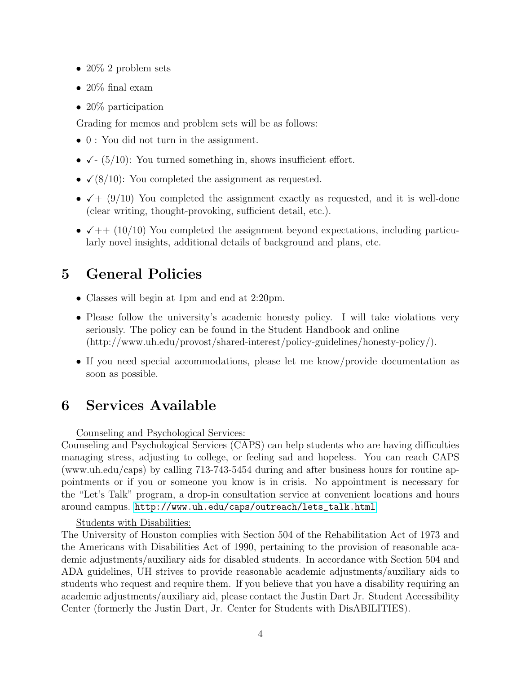- 20\% 2 problem sets
- 20% final exam
- 20\% participation

Grading for memos and problem sets will be as follows:

- 0 : You did not turn in the assignment.
- $\checkmark$  (5/10): You turned something in, shows insufficient effort.
- $\checkmark$  (8/10): You completed the assignment as requested.
- $\checkmark$  + (9/10) You completed the assignment exactly as requested, and it is well-done (clear writing, thought-provoking, sufficient detail, etc.).
- $\sqrt{++}$  (10/10) You completed the assignment beyond expectations, including particularly novel insights, additional details of background and plans, etc.

## 5 General Policies

- Classes will begin at 1pm and end at 2:20pm.
- Please follow the university's academic honesty policy. I will take violations very seriously. The policy can be found in the Student Handbook and online (http://www.uh.edu/provost/shared-interest/policy-guidelines/honesty-policy/).
- If you need special accommodations, please let me know/provide documentation as soon as possible.

## 6 Services Available

Counseling and Psychological Services:

Counseling and Psychological Services (CAPS) can help students who are having difficulties managing stress, adjusting to college, or feeling sad and hopeless. You can reach CAPS (www.uh.edu/caps) by calling 713-743-5454 during and after business hours for routine appointments or if you or someone you know is in crisis. No appointment is necessary for the "Let's Talk" program, a drop-in consultation service at convenient locations and hours around campus. [http://www.uh.edu/caps/outreach/lets\\_talk.html](http://www.uh.edu/caps/outreach/lets_talk.html)

#### Students with Disabilities:

The University of Houston complies with Section 504 of the Rehabilitation Act of 1973 and the Americans with Disabilities Act of 1990, pertaining to the provision of reasonable academic adjustments/auxiliary aids for disabled students. In accordance with Section 504 and ADA guidelines, UH strives to provide reasonable academic adjustments/auxiliary aids to students who request and require them. If you believe that you have a disability requiring an academic adjustments/auxiliary aid, please contact the Justin Dart Jr. Student Accessibility Center (formerly the Justin Dart, Jr. Center for Students with DisABILITIES).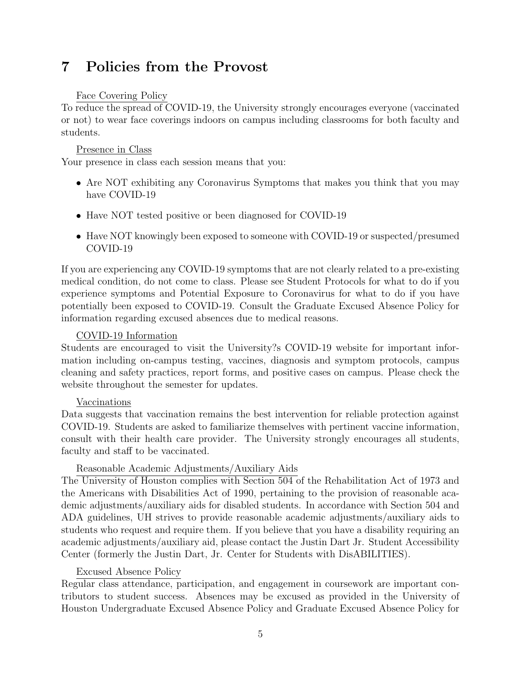## 7 Policies from the Provost

#### Face Covering Policy

To reduce the spread of COVID-19, the University strongly encourages everyone (vaccinated or not) to wear face coverings indoors on campus including classrooms for both faculty and students.

#### Presence in Class

Your presence in class each session means that you:

- Are NOT exhibiting any Coronavirus Symptoms that makes you think that you may have COVID-19
- Have NOT tested positive or been diagnosed for COVID-19
- Have NOT knowingly been exposed to someone with COVID-19 or suspected/presumed COVID-19

If you are experiencing any COVID-19 symptoms that are not clearly related to a pre-existing medical condition, do not come to class. Please see Student Protocols for what to do if you experience symptoms and Potential Exposure to Coronavirus for what to do if you have potentially been exposed to COVID-19. Consult the Graduate Excused Absence Policy for information regarding excused absences due to medical reasons.

#### COVID-19 Information

Students are encouraged to visit the University?s COVID-19 website for important information including on-campus testing, vaccines, diagnosis and symptom protocols, campus cleaning and safety practices, report forms, and positive cases on campus. Please check the website throughout the semester for updates.

#### Vaccinations

Data suggests that vaccination remains the best intervention for reliable protection against COVID-19. Students are asked to familiarize themselves with pertinent vaccine information, consult with their health care provider. The University strongly encourages all students, faculty and staff to be vaccinated.

#### Reasonable Academic Adjustments/Auxiliary Aids

The University of Houston complies with Section 504 of the Rehabilitation Act of 1973 and the Americans with Disabilities Act of 1990, pertaining to the provision of reasonable academic adjustments/auxiliary aids for disabled students. In accordance with Section 504 and ADA guidelines, UH strives to provide reasonable academic adjustments/auxiliary aids to students who request and require them. If you believe that you have a disability requiring an academic adjustments/auxiliary aid, please contact the Justin Dart Jr. Student Accessibility Center (formerly the Justin Dart, Jr. Center for Students with DisABILITIES).

#### Excused Absence Policy

Regular class attendance, participation, and engagement in coursework are important contributors to student success. Absences may be excused as provided in the University of Houston Undergraduate Excused Absence Policy and Graduate Excused Absence Policy for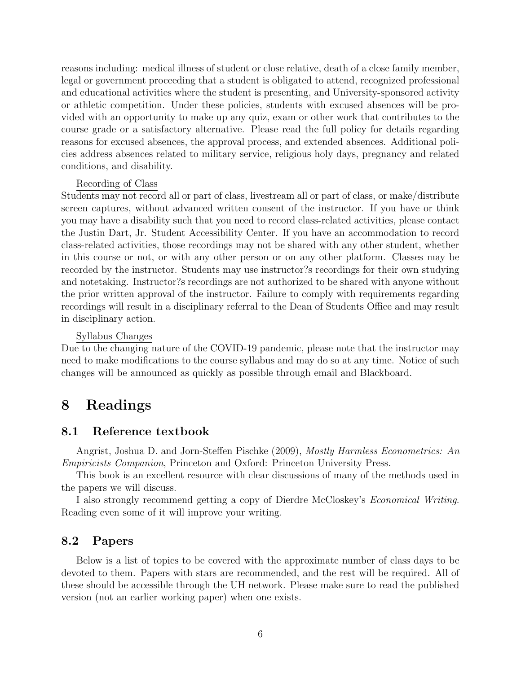reasons including: medical illness of student or close relative, death of a close family member, legal or government proceeding that a student is obligated to attend, recognized professional and educational activities where the student is presenting, and University-sponsored activity or athletic competition. Under these policies, students with excused absences will be provided with an opportunity to make up any quiz, exam or other work that contributes to the course grade or a satisfactory alternative. Please read the full policy for details regarding reasons for excused absences, the approval process, and extended absences. Additional policies address absences related to military service, religious holy days, pregnancy and related conditions, and disability.

#### Recording of Class

Students may not record all or part of class, livestream all or part of class, or make/distribute screen captures, without advanced written consent of the instructor. If you have or think you may have a disability such that you need to record class-related activities, please contact the Justin Dart, Jr. Student Accessibility Center. If you have an accommodation to record class-related activities, those recordings may not be shared with any other student, whether in this course or not, or with any other person or on any other platform. Classes may be recorded by the instructor. Students may use instructor?s recordings for their own studying and notetaking. Instructor?s recordings are not authorized to be shared with anyone without the prior written approval of the instructor. Failure to comply with requirements regarding recordings will result in a disciplinary referral to the Dean of Students Office and may result in disciplinary action.

#### Syllabus Changes

Due to the changing nature of the COVID-19 pandemic, please note that the instructor may need to make modifications to the course syllabus and may do so at any time. Notice of such changes will be announced as quickly as possible through email and Blackboard.

### 8 Readings

#### 8.1 Reference textbook

Angrist, Joshua D. and Jorn-Steffen Pischke (2009), *Mostly Harmless Econometrics: An* Empiricists Companion, Princeton and Oxford: Princeton University Press.

This book is an excellent resource with clear discussions of many of the methods used in the papers we will discuss.

I also strongly recommend getting a copy of Dierdre McCloskey's Economical Writing. Reading even some of it will improve your writing.

#### 8.2 Papers

Below is a list of topics to be covered with the approximate number of class days to be devoted to them. Papers with stars are recommended, and the rest will be required. All of these should be accessible through the UH network. Please make sure to read the published version (not an earlier working paper) when one exists.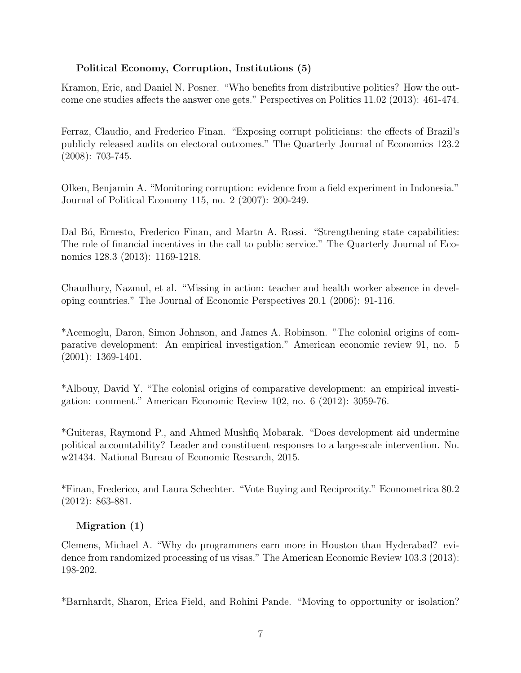#### Political Economy, Corruption, Institutions (5)

Kramon, Eric, and Daniel N. Posner. "Who benefits from distributive politics? How the outcome one studies affects the answer one gets." Perspectives on Politics 11.02 (2013): 461-474.

Ferraz, Claudio, and Frederico Finan. "Exposing corrupt politicians: the effects of Brazil's publicly released audits on electoral outcomes." The Quarterly Journal of Economics 123.2 (2008): 703-745.

Olken, Benjamin A. "Monitoring corruption: evidence from a field experiment in Indonesia." Journal of Political Economy 115, no. 2 (2007): 200-249.

Dal Bó, Ernesto, Frederico Finan, and Martn A. Rossi. "Strengthening state capabilities: The role of financial incentives in the call to public service." The Quarterly Journal of Economics 128.3 (2013): 1169-1218.

Chaudhury, Nazmul, et al. "Missing in action: teacher and health worker absence in developing countries." The Journal of Economic Perspectives 20.1 (2006): 91-116.

\*Acemoglu, Daron, Simon Johnson, and James A. Robinson. "The colonial origins of comparative development: An empirical investigation." American economic review 91, no. 5 (2001): 1369-1401.

\*Albouy, David Y. "The colonial origins of comparative development: an empirical investigation: comment." American Economic Review 102, no. 6 (2012): 3059-76.

\*Guiteras, Raymond P., and Ahmed Mushfiq Mobarak. "Does development aid undermine political accountability? Leader and constituent responses to a large-scale intervention. No. w21434. National Bureau of Economic Research, 2015.

\*Finan, Frederico, and Laura Schechter. "Vote Buying and Reciprocity." Econometrica 80.2 (2012): 863-881.

#### Migration (1)

Clemens, Michael A. "Why do programmers earn more in Houston than Hyderabad? evidence from randomized processing of us visas." The American Economic Review 103.3 (2013): 198-202.

\*Barnhardt, Sharon, Erica Field, and Rohini Pande. "Moving to opportunity or isolation?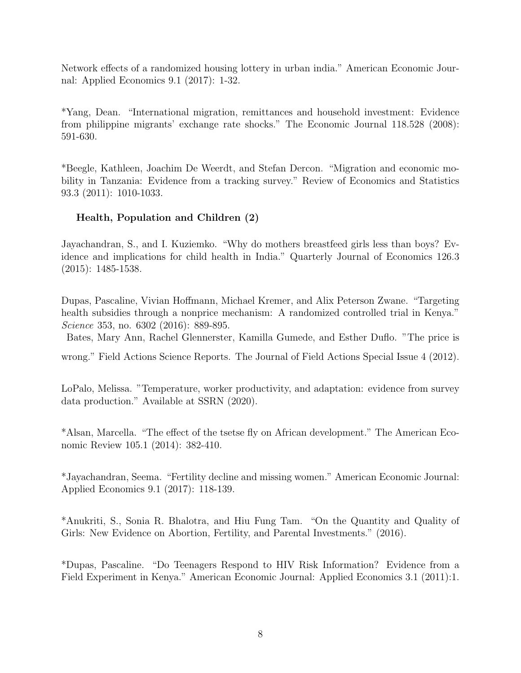Network effects of a randomized housing lottery in urban india." American Economic Journal: Applied Economics 9.1 (2017): 1-32.

\*Yang, Dean. "International migration, remittances and household investment: Evidence from philippine migrants' exchange rate shocks." The Economic Journal 118.528 (2008): 591-630.

\*Beegle, Kathleen, Joachim De Weerdt, and Stefan Dercon. "Migration and economic mobility in Tanzania: Evidence from a tracking survey." Review of Economics and Statistics 93.3 (2011): 1010-1033.

#### Health, Population and Children (2)

Jayachandran, S., and I. Kuziemko. "Why do mothers breastfeed girls less than boys? Evidence and implications for child health in India." Quarterly Journal of Economics 126.3 (2015): 1485-1538.

Dupas, Pascaline, Vivian Hoffmann, Michael Kremer, and Alix Peterson Zwane. "Targeting health subsidies through a nonprice mechanism: A randomized controlled trial in Kenya." Science 353, no. 6302 (2016): 889-895.

Bates, Mary Ann, Rachel Glennerster, Kamilla Gumede, and Esther Duflo. "The price is

wrong." Field Actions Science Reports. The Journal of Field Actions Special Issue 4 (2012).

LoPalo, Melissa. "Temperature, worker productivity, and adaptation: evidence from survey data production." Available at SSRN (2020).

\*Alsan, Marcella. "The effect of the tsetse fly on African development." The American Economic Review 105.1 (2014): 382-410.

\*Jayachandran, Seema. "Fertility decline and missing women." American Economic Journal: Applied Economics 9.1 (2017): 118-139.

\*Anukriti, S., Sonia R. Bhalotra, and Hiu Fung Tam. "On the Quantity and Quality of Girls: New Evidence on Abortion, Fertility, and Parental Investments." (2016).

\*Dupas, Pascaline. "Do Teenagers Respond to HIV Risk Information? Evidence from a Field Experiment in Kenya." American Economic Journal: Applied Economics 3.1 (2011):1.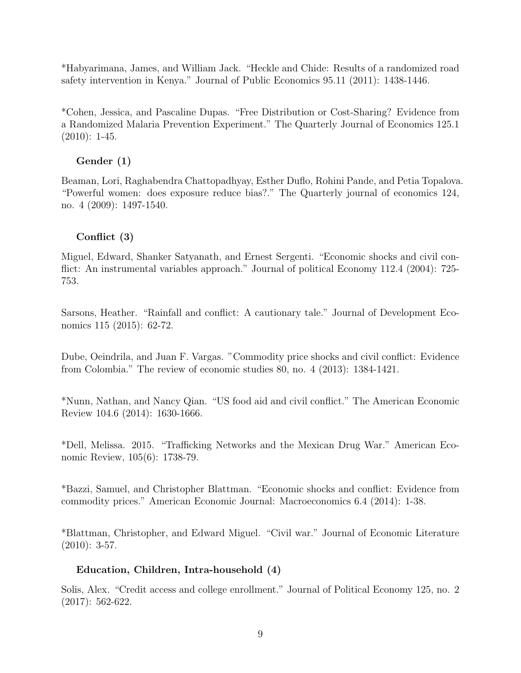\*Habyarimana, James, and William Jack. "Heckle and Chide: Results of a randomized road safety intervention in Kenya." Journal of Public Economics 95.11 (2011): 1438-1446.

\*Cohen, Jessica, and Pascaline Dupas. "Free Distribution or Cost-Sharing? Evidence from a Randomized Malaria Prevention Experiment." The Quarterly Journal of Economics 125.1 (2010): 1-45.

#### Gender (1)

Beaman, Lori, Raghabendra Chattopadhyay, Esther Duflo, Rohini Pande, and Petia Topalova. "Powerful women: does exposure reduce bias?." The Quarterly journal of economics 124, no. 4 (2009): 1497-1540.

#### Conflict (3)

Miguel, Edward, Shanker Satyanath, and Ernest Sergenti. "Economic shocks and civil conflict: An instrumental variables approach." Journal of political Economy 112.4 (2004): 725-753.

Sarsons, Heather. "Rainfall and conflict: A cautionary tale." Journal of Development Economics 115 (2015): 62-72.

Dube, Oeindrila, and Juan F. Vargas. "Commodity price shocks and civil conflict: Evidence from Colombia." The review of economic studies 80, no. 4 (2013): 1384-1421.

\*Nunn, Nathan, and Nancy Qian. "US food aid and civil conflict." The American Economic Review 104.6 (2014): 1630-1666.

\*Dell, Melissa. 2015. "Trafficking Networks and the Mexican Drug War." American Economic Review, 105(6): 1738-79.

\*Bazzi, Samuel, and Christopher Blattman. "Economic shocks and conflict: Evidence from commodity prices." American Economic Journal: Macroeconomics 6.4 (2014): 1-38.

\*Blattman, Christopher, and Edward Miguel. "Civil war." Journal of Economic Literature  $(2010): 3-57.$ 

#### Education, Children, Intra-household (4)

Solis, Alex. "Credit access and college enrollment." Journal of Political Economy 125, no. 2 (2017): 562-622.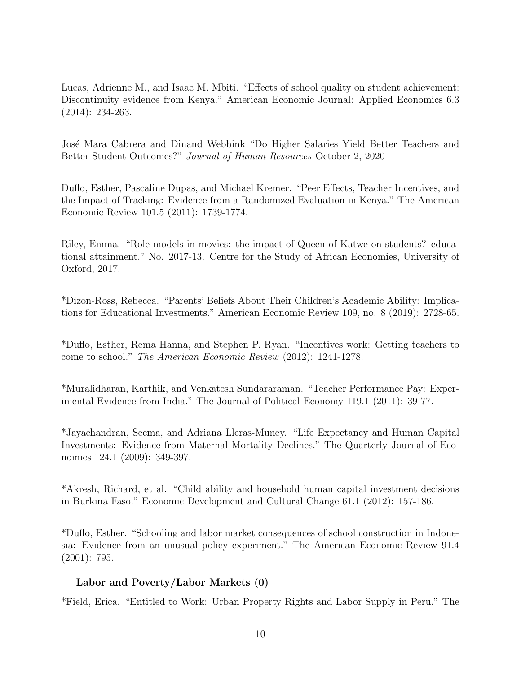Lucas, Adrienne M., and Isaac M. Mbiti. "Effects of school quality on student achievement: Discontinuity evidence from Kenya." American Economic Journal: Applied Economics 6.3 (2014): 234-263.

José Mara Cabrera and Dinand Webbink "Do Higher Salaries Yield Better Teachers and Better Student Outcomes?" Journal of Human Resources October 2, 2020

Duflo, Esther, Pascaline Dupas, and Michael Kremer. "Peer Effects, Teacher Incentives, and the Impact of Tracking: Evidence from a Randomized Evaluation in Kenya." The American Economic Review 101.5 (2011): 1739-1774.

Riley, Emma. "Role models in movies: the impact of Queen of Katwe on students? educational attainment." No. 2017-13. Centre for the Study of African Economies, University of Oxford, 2017.

\*Dizon-Ross, Rebecca. "Parents' Beliefs About Their Children's Academic Ability: Implications for Educational Investments." American Economic Review 109, no. 8 (2019): 2728-65.

\*Duflo, Esther, Rema Hanna, and Stephen P. Ryan. "Incentives work: Getting teachers to come to school." The American Economic Review (2012): 1241-1278.

\*Muralidharan, Karthik, and Venkatesh Sundararaman. "Teacher Performance Pay: Experimental Evidence from India." The Journal of Political Economy 119.1 (2011): 39-77.

\*Jayachandran, Seema, and Adriana Lleras-Muney. "Life Expectancy and Human Capital Investments: Evidence from Maternal Mortality Declines." The Quarterly Journal of Economics 124.1 (2009): 349-397.

\*Akresh, Richard, et al. "Child ability and household human capital investment decisions in Burkina Faso." Economic Development and Cultural Change 61.1 (2012): 157-186.

\*Duflo, Esther. "Schooling and labor market consequences of school construction in Indonesia: Evidence from an unusual policy experiment." The American Economic Review 91.4 (2001): 795.

#### Labor and Poverty/Labor Markets (0)

\*Field, Erica. "Entitled to Work: Urban Property Rights and Labor Supply in Peru." The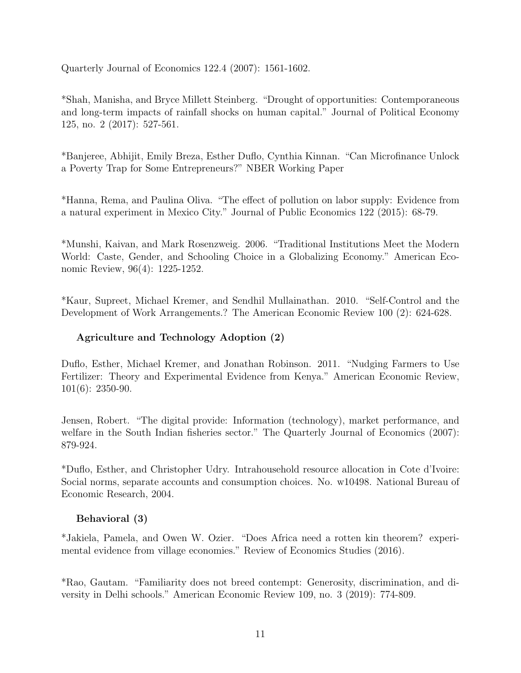Quarterly Journal of Economics 122.4 (2007): 1561-1602.

\*Shah, Manisha, and Bryce Millett Steinberg. "Drought of opportunities: Contemporaneous and long-term impacts of rainfall shocks on human capital." Journal of Political Economy 125, no. 2 (2017): 527-561.

\*Banjeree, Abhijit, Emily Breza, Esther Duflo, Cynthia Kinnan. "Can Microfinance Unlock a Poverty Trap for Some Entrepreneurs?" NBER Working Paper

\*Hanna, Rema, and Paulina Oliva. "The effect of pollution on labor supply: Evidence from a natural experiment in Mexico City." Journal of Public Economics 122 (2015): 68-79.

\*Munshi, Kaivan, and Mark Rosenzweig. 2006. "Traditional Institutions Meet the Modern World: Caste, Gender, and Schooling Choice in a Globalizing Economy." American Economic Review, 96(4): 1225-1252.

\*Kaur, Supreet, Michael Kremer, and Sendhil Mullainathan. 2010. "Self-Control and the Development of Work Arrangements.? The American Economic Review 100 (2): 624-628.

#### Agriculture and Technology Adoption (2)

Duflo, Esther, Michael Kremer, and Jonathan Robinson. 2011. "Nudging Farmers to Use Fertilizer: Theory and Experimental Evidence from Kenya." American Economic Review, 101(6): 2350-90.

Jensen, Robert. "The digital provide: Information (technology), market performance, and welfare in the South Indian fisheries sector." The Quarterly Journal of Economics (2007): 879-924.

\*Duflo, Esther, and Christopher Udry. Intrahousehold resource allocation in Cote d'Ivoire: Social norms, separate accounts and consumption choices. No. w10498. National Bureau of Economic Research, 2004.

#### Behavioral (3)

\*Jakiela, Pamela, and Owen W. Ozier. "Does Africa need a rotten kin theorem? experimental evidence from village economies." Review of Economics Studies (2016).

\*Rao, Gautam. "Familiarity does not breed contempt: Generosity, discrimination, and diversity in Delhi schools." American Economic Review 109, no. 3 (2019): 774-809.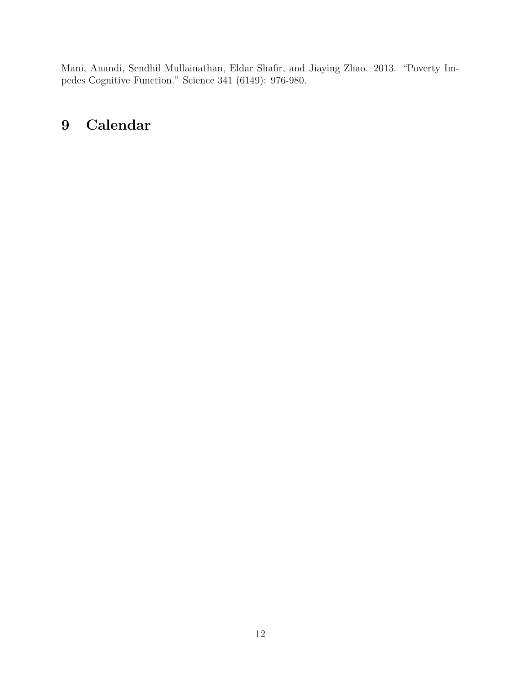Mani, Anandi, Sendhil Mullainathan, Eldar Shafir, and Jiaying Zhao. 2013. "Poverty Impedes Cognitive Function." Science 341 (6149): 976-980.

# 9 Calendar